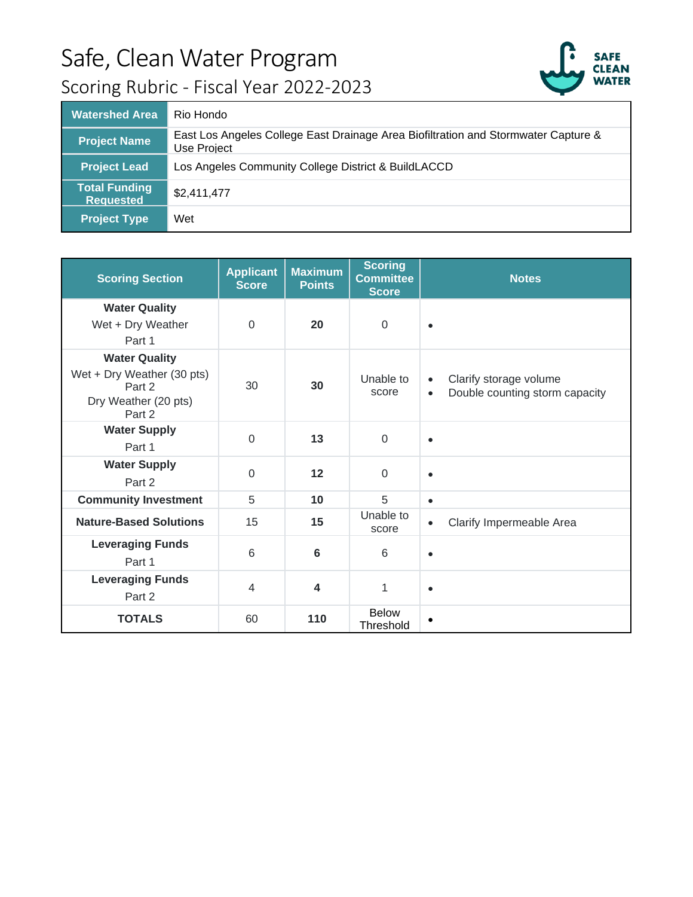## Safe, Clean Water Program



## Scoring Rubric - Fiscal Year 2022-2023

| <b>Watershed Area</b>                    | Rio Hondo                                                                                         |
|------------------------------------------|---------------------------------------------------------------------------------------------------|
| <b>Project Name</b>                      | East Los Angeles College East Drainage Area Biofiltration and Stormwater Capture &<br>Use Project |
| <b>Project Lead</b>                      | Los Angeles Community College District & BuildLACCD                                               |
| <b>Total Funding</b><br><b>Requested</b> | \$2,411,477                                                                                       |
| <b>Project Type</b>                      | Wet                                                                                               |

| <b>Scoring Section</b>                                                                         | <b>Applicant</b><br><b>Score</b> | <b>Maximum</b><br><b>Points</b> | <b>Scoring</b><br><b>Committee</b><br><b>Score</b> | <b>Notes</b>                                                                       |
|------------------------------------------------------------------------------------------------|----------------------------------|---------------------------------|----------------------------------------------------|------------------------------------------------------------------------------------|
| <b>Water Quality</b><br>Wet + Dry Weather<br>Part 1                                            | $\Omega$                         | 20                              | $\mathbf 0$                                        | $\bullet$                                                                          |
| <b>Water Quality</b><br>Wet + Dry Weather (30 pts)<br>Part 2<br>Dry Weather (20 pts)<br>Part 2 | 30                               | 30                              | Unable to<br>score                                 | Clarify storage volume<br>$\bullet$<br>Double counting storm capacity<br>$\bullet$ |
| <b>Water Supply</b><br>Part 1                                                                  | $\Omega$                         | 13                              | $\mathbf 0$                                        | $\bullet$                                                                          |
| <b>Water Supply</b><br>Part 2                                                                  | $\Omega$                         | 12                              | $\Omega$                                           | $\bullet$                                                                          |
| <b>Community Investment</b>                                                                    | 5                                | 10                              | 5                                                  | $\bullet$                                                                          |
| <b>Nature-Based Solutions</b>                                                                  | 15                               | 15                              | Unable to<br>score                                 | Clarify Impermeable Area<br>$\bullet$                                              |
| <b>Leveraging Funds</b><br>Part 1                                                              | 6                                | 6                               | 6                                                  | $\bullet$                                                                          |
| <b>Leveraging Funds</b><br>Part 2                                                              | $\overline{4}$                   | 4                               | 1                                                  | $\bullet$                                                                          |
| <b>TOTALS</b>                                                                                  | 60                               | 110                             | <b>Below</b><br><b>Threshold</b>                   | $\bullet$                                                                          |